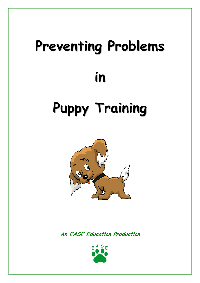# **Preventing Problems in Puppy Training**



**An EASE Education Production**

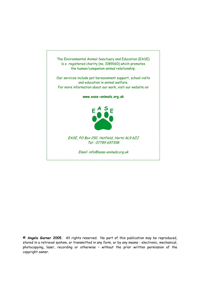

**© Angela Garner 2005.** All rights reserved. No part of this publication may be reproduced, stored in a retrieval system, or transmitted in any form, or by any means - electronic, mechanical, photocopying, laser, recording or otherwise – without the prior written permission of the copyright owner.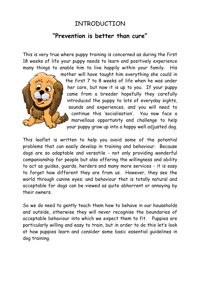## INTRODUCTION

#### **"Prevention is better than cure"**

This is very true where puppy training is concerned as during the first 18 weeks of life your puppy needs to learn and positively experience many things to enable him to live happily within your family. His



mother will have taught him everything she could in the first 7 to 8 weeks of life when he was under her care, but now it is up to you. If your puppy came from a breeder hopefully they carefully introduced the puppy to lots of everyday sights, sounds and experiences, and you will need to continue this 'socialisation'. You now face a marvellous opportunity and challenge to help your puppy grow up into a happy well adjusted dog.

This leaflet is written to help you avoid some of the potential problems that can easily develop in training and behaviour. Because dogs are so adaptable and versatile - not only providing wonderful companionship for people but also offering the willingness and ability to act as guides, guards, herders and many more services - it is easy to forget how different they are from us. However, they see the world through canine eyes; and behaviour that is totally natural and acceptable for dogs can be viewed as quite abhorrent or annoying by their owners.

So we do need to gently teach them how to behave in our households and outside, otherwise they will never recognise the boundaries of acceptable behaviour into which we expect them to fit. Puppies are particularly willing and easy to train, but in order to do this let's look at how puppies learn and consider some basic essential guidelines in dog training.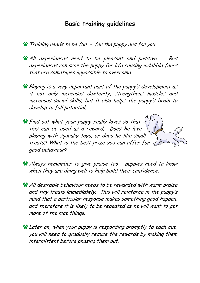#### **Basic training guidelines**

- Training needs to be fun for the puppy and for you.
- **All experiences need to be pleasant and positive.** Bad experiences can scar the puppy for life causing indelible fears that are sometimes impossible to overcome.
- Playing is a very important part of the puppy's devel opment as it not only increases dexterity, strengthens muscles and increases social skills, but it also helps the puppy's brain to develop to full potential.
- **So Find out what your puppy really loves so that** this can be used as a reward. Does he love playing with squeaky toys, or does he like small g ood behaviour? treats? What is the best prize you can offer for  $\epsilon$
- Always remember to give praise too puppies need to know when they are doing well to help build their confiden ce.
- All desirable behaviour needs to be rewarded with warm praise and tiny treats **immediately**. This will reinforce in the puppy's mind that a particular response makes something good happen, and therefore it is likely to be repeated as he will want to get more of the nice things.
- **Later on, when your puppy is responding promptly to each cue,** you will need to gradually reduce the rewards by making them intermittent before phasing them out.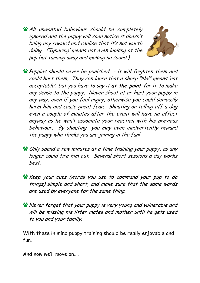All unwanted behaviour should be completely ignored and the puppy will soon notice it doesn't bring any reward and realise that it's no t worth doing. ('Ignoring' means not even l ooking at the pup but turning away and making no sound.)



- Puppies should never be punished it will frighten them and could hurt them. They can learn that a sharp "No!" means 'not acceptable', but you have to say it **at the point** for it to make any sense to the puppy. Never shout at or hurt your puppy in any way, even if you feel angry, otherwise you could seriously harm him and cause great fear. Shouting or telling off <sup>a</sup> dog even <sup>a</sup> couple of minutes after the ev ent will have no effect anyway as he won't associate your reaction with his previous behaviour. By shouting you may even inadvertently reward the puppy who thinks you are joining in the fun!
- Only spend a few minutes at a time training your puppy, as any longer could tire him out. Several short sessions a day works best.
- things) simple and short, and make sure that the same words are used by everyo ne for the same thing. Keep your cues (words you use to command your pup to do
- **Never forget that your puppy is very young and vulnerable and** will be missing his litter mates and mother until he gets used to you and your family.

With these in mind puppy training should be really enjoyable and fun.

And now we'll move on....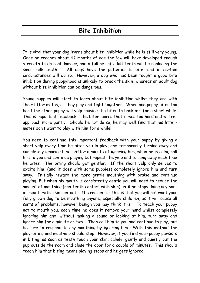## **Bite Inhibition**

It is vital that your dog learns about bite inhibition while he is still very young. Once he reaches about  $4\frac{1}{2}$  months of age the jaw will have developed enough strength to do real damage, and a full set of adult teeth will be replacing the small milk teeth. All dogs have the potential to bite, and in certain circumstances will do so. However, a dog who has been taught a good bite inhibition during puppyhood is unlikely to break the skin, whereas an adult dog without bite inhibition can be dangerous.

Young puppies will start to learn about bite inhibition whilst they are with their litter mates, as they play and fight together. When one puppy bites too hard the other puppy will yelp causing the biter to back off for a short while. This is important feedback - the biter learns that it was too hard and will re approach more gently. Should he not do so, he may well find that his littermates don't want to play with him for a while!

You need to continue this important feedback with your puppy by giving a short yelp every time he bites you in play, and temporarily turning away and completely ignoring him. After a minute of ignoring him, when he is calm, call him to you and continue playing but repeat the yelp and turning away each time he bites. The biting should get gentler. If the short yelp only serves to excite him, (and it does with some puppies) completely ignore him and turn away. Initially reward the more gentle mouthing with praise and continue playing. But when his mouth is consistently gentle you will need to reduce the amount of mouthing (non-teeth contact with skin) until he stops doing any sort of mouth-with-skin contact. The reason for this is that you will not want your fully grown dog to be mouthing anyone, especially children, as it will cause all sorts of problems, however benign you may think it is. To teach your puppy not to mouth you, each time he does it remove your hand whilst completely ignoring him and, without making a sound or looking at him, turn away and ignore him for a minute or two. Then call him to you and continue to play, but be sure to respond to any mouthing by ignoring him. With this method the play-biting and mouthing should stop. However, if you find your puppy persists in biting, as soon as teeth touch your skin, calmly, gently and quietly put the pup outside the room and close the door for a couple of minutes. This should teach him that biting means playing stops and he gets ignored.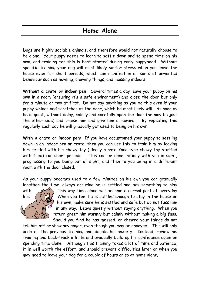#### **Home Alone**

Dogs are highly sociable animals, and therefore would not naturally choose to be alone. Your puppy needs to learn to settle down and to spend time on his own, and training for this is best started during early puppyhood. Without specific training your dog will most likely suffer stress when you leave the house even for short periods, which can manifest in all sorts of unwanted behaviour such as howling, chewing things, and messing indoors.

**Without a crate or indoor pen:** Several times a day leave your puppy on his own in a room (ensuring it's a safe environment) and close the door but only for a minute or two at first. Do not say anything as you do this even if your puppy whines and scratches at the door, which he most likely will. As soon as he is quiet, without delay, calmly and carefully open the door (he may be just By repeating this the other side) and praise him and give him a reward. regularly each day he will gradually get used to being on his own.

**With a crate or indoor pen:** If you have accustomed your puppy to settling down in an indoor pen or crate, then you can use this to train him by leaving him settled with his chewy toy (ideally a safe Kong-type chewy toy stuffed with food) for short periods. This can be done initially with you in sight, progressing to you being out of sight, and then to you being in a different room with the door closed.

As your puppy becomes used to a few minutes on his own you can gradually lengthen the time, always ensuring he is settled and has something to play



This way time alone will become a normal part of everyday life.  $\wedge$   $\wedge$   $\wedge$   $\wedge$  When you feel he is settled enough to stay in the house on his own, make sure he is settled and safe but do not fuss him in any way. Leave quietly without saying anything. When you return greet him warmly but calmly without making a big fuss. Should you find he has messed, or chewed your things do not

tell him off or show any anger, even though you may be annoyed. This will only undo all the previous training and double his anxiety. Instead, review his training and back-track a little and gradually build up his confidence again on spending time alone. Although this training takes a lot of time and patience, it is well worth the effort, and should prevent difficulties later on when you may need to leave your dog for a couple of hours or so at home alone.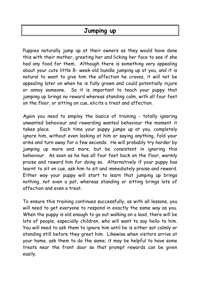## **Jumping up**

Puppies naturally jump up at their owners as they would have done this with their mother, greeting her and licking her face to see if she had any food for them. Although there is something very appealing about your cute little 8- week-old bundle jumping up at you, and it is natural to want to give him the affection he craves, it will not be appealing later on when he is fully grown and could potentially injure or annoy someone. So it is important to teach your puppy that jumping up brings no reward whereas standing calm, with all four feet on the floor, or sitting on cue, elicits a treat and affection.

Again you need to employ the basics of training - totally ignoring unwanted behaviour and rewarding wanted behaviour the moment it takes place. Each time your puppy jumps up at you, completely ignore him, without even looking at him or saying anything, fold your arms and turn away for a few seconds. He will probably try harder by jumping up more and more, but be consistent in ignoring this behaviour. As soon as he has all four feet back on the floor, warmly praise and reward him for doing so. Alternatively if your puppy has learnt to sit on cue, ask him to sit and immediately praise and reward. Either way your puppy will start to learn that jumping up brings nothing, not even a pat, whereas standing or sitting brings lots of affection and even a treat.

To ensure this training continues successfully, as with all lessons, you will need to get everyone to respond in exactly the same way as you. When the puppy is old enough to go out walking on a lead, there will be lots of people, especially children, who will want to say hello to him. You will need to ask them to ignore him until he is either sat calmly or standing still before they greet him. Likewise when visitors arrive at your home, ask them to do the same; it may be helpful to have some treats near the front door so that prompt rewards can be given easily.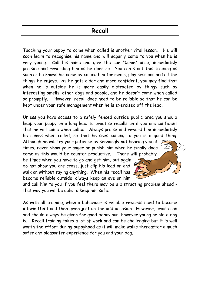## **Recall**

He will soon learn to recognise his name and will eagerly come to you when he is very young. Call his name and give the cue "Come" once, immediately praising and rewarding him as he does so. You can start this training as soon as he knows his name by calling him for meals, play sessions and all the things he enjoys. As he gets older and more confident, you may find that when he is outside he is more easily distracted by things such as interesting smells, other dogs and people, and he doesn't come when called so promptly. However, recall does need to be reliable so that he can be kept under your safe management when he is exercised off the lead. Teaching your puppy to come when called is another vital lesso

Unless you have access to a safely fenced outside public area you should keep your puppy on a long lead to practise recalls until you are confident that he will come when called. Always praise and reward him immediately he comes when called, so that he sees coming to you is a good thing.

Although he will try your patience by seemingly not hearing you at times, never show your anger or punish him when he finally does There will probably come as this would be counter-productive.

walk on without saying anything. When his recall has be times when you have to go and get him, but again do not show you are cross, just clip his lead on and become reliable outside, always keep an eye on him

and call him to you if you feel there may be a distracting problem ahead that way you will be able to keep him safe.

As with all training, when a behaviour is reliable rewards need to become intermittent and then given just on the odd occasion. However, praise can and should always be given for good behaviour, however young or old a dog is. Recall training takes a lot of work and can be challenging but it is well worth the effort during puppyhood as it will make walks thereafter a much safer and pleasanter experience for you and your dog.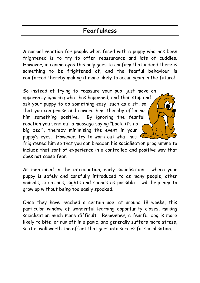## **Fearfulness**

A normal reaction for people when faced with a puppy who has been frightened is to try to offer reassurance and lots of cuddles. However, in canine eyes this only goes to confirm that indeed there is something to be frightened of, and the fearful behaviour is reinforced thereby making it more likely to occur again in the future!

apparently ignoring what has happened; and then stop and ask your puppy to do something easy, such as a sit, so that you can praise and reward him, thereby offering e fearful So instead of trying to reassure your pup, just move on, him something positive. reaction you send out a message saying "Look, it's no big deal", thereby minimising the event in your puppy's eyes. However, try to work out what has

frightened him so that you can broaden his socialisation programme to include that sort of experience in a controlled and positive way that does not cause fear.

As mentioned in the introduction, early socialisation - where your puppy is safely and carefully introduced to as many people, other animals, situations, sights and sounds as possible - will help him to grow up without being too easily spooked.

Once they have reached a certain age, at around 18 weeks, this particular window of wonderful learning opportunity closes, making socialisation much more difficult. Remember, a fearful dog is more likely to bite, or run off in a panic, and generally suffers more stress, so it is well worth the effort that goes into successful socialisation.